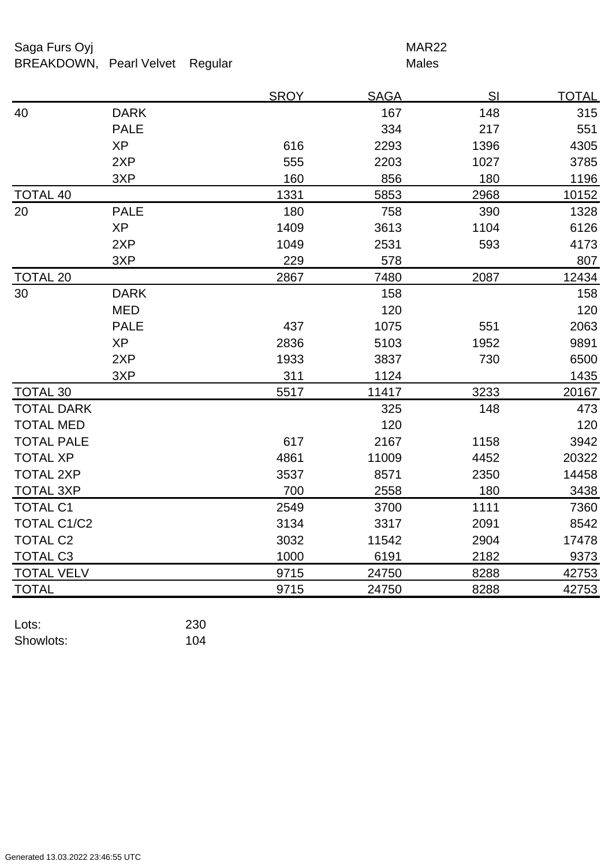## Saga Furs Oyj and the Saga Furs Oyj and the Saga Furs of the MAR22 BREAKDOWN, Pearl Velvet Regular Males

|                    |             | <b>SROY</b> | <b>SAGA</b> | SI   | <b>TOTAL</b> |
|--------------------|-------------|-------------|-------------|------|--------------|
| 40                 | <b>DARK</b> |             | 167         | 148  | 315          |
|                    | <b>PALE</b> |             | 334         | 217  | 551          |
|                    | <b>XP</b>   | 616         | 2293        | 1396 | 4305         |
|                    | 2XP         | 555         | 2203        | 1027 | 3785         |
|                    | 3XP         | 160         | 856         | 180  | 1196         |
| <b>TOTAL 40</b>    |             | 1331        | 5853        | 2968 | 10152        |
| 20                 | <b>PALE</b> | 180         | 758         | 390  | 1328         |
|                    | <b>XP</b>   | 1409        | 3613        | 1104 | 6126         |
|                    | 2XP         | 1049        | 2531        | 593  | 4173         |
|                    | 3XP         | 229         | 578         |      | 807          |
| <b>TOTAL 20</b>    |             | 2867        | 7480        | 2087 | 12434        |
| 30                 | <b>DARK</b> |             | 158         |      | 158          |
|                    | <b>MED</b>  |             | 120         |      | 120          |
|                    | <b>PALE</b> | 437         | 1075        | 551  | 2063         |
|                    | <b>XP</b>   | 2836        | 5103        | 1952 | 9891         |
|                    | 2XP         | 1933        | 3837        | 730  | 6500         |
|                    | 3XP         | 311         | 1124        |      | 1435         |
| <b>TOTAL 30</b>    |             | 5517        | 11417       | 3233 | 20167        |
| <b>TOTAL DARK</b>  |             |             | 325         | 148  | 473          |
| <b>TOTAL MED</b>   |             |             | 120         |      | 120          |
| <b>TOTAL PALE</b>  |             | 617         | 2167        | 1158 | 3942         |
| <b>TOTAL XP</b>    |             | 4861        | 11009       | 4452 | 20322        |
| <b>TOTAL 2XP</b>   |             | 3537        | 8571        | 2350 | 14458        |
| <b>TOTAL 3XP</b>   |             | 700         | 2558        | 180  | 3438         |
| <b>TOTAL C1</b>    |             | 2549        | 3700        | 1111 | 7360         |
| <b>TOTAL C1/C2</b> |             | 3134        | 3317        | 2091 | 8542         |
| <b>TOTAL C2</b>    |             | 3032        | 11542       | 2904 | 17478        |
| <b>TOTAL C3</b>    |             | 1000        | 6191        | 2182 | 9373         |
| <b>TOTAL VELV</b>  |             | 9715        | 24750       | 8288 | 42753        |
| <b>TOTAL</b>       |             | 9715        | 24750       | 8288 | 42753        |

| Lots:     | 230 |
|-----------|-----|
| Showlots: | 104 |